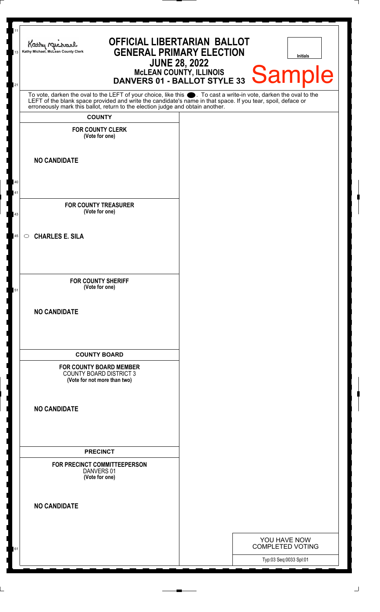| 11<br><b>OFFICIAL LIBERTARIAN BALLOT</b><br>Kathy Michael<br><b>GENERAL PRIMARY ELECTION</b><br>Kathy Michael, McLean County Clerk<br>Initials<br><b>JUNE 28, 2022</b><br>MCLEAN COUNTY, ILLINOIS DANVERS 01 - BALLOT STYLE 33 Sample<br>21    |  |                                         |  |  |
|------------------------------------------------------------------------------------------------------------------------------------------------------------------------------------------------------------------------------------------------|--|-----------------------------------------|--|--|
| To vote, darken the oval to the LEFT of your choice, like this . To cast a write-in vote, darken the oval to the LEFT of the blank space provided and write the candidate's name in that space. If you tear, spoil, deface or<br><b>COUNTY</b> |  |                                         |  |  |
| <b>FOR COUNTY CLERK</b><br>(Vote for one)                                                                                                                                                                                                      |  |                                         |  |  |
| <b>NO CANDIDATE</b>                                                                                                                                                                                                                            |  |                                         |  |  |
| 40<br>41<br><b>FOR COUNTY TREASURER</b>                                                                                                                                                                                                        |  |                                         |  |  |
| (Vote for one)<br>43                                                                                                                                                                                                                           |  |                                         |  |  |
| <b>CHARLES E. SILA</b><br>45<br>$\circ$                                                                                                                                                                                                        |  |                                         |  |  |
| <b>FOR COUNTY SHERIFF</b><br>(Vote for one)<br>51                                                                                                                                                                                              |  |                                         |  |  |
| <b>NO CANDIDATE</b>                                                                                                                                                                                                                            |  |                                         |  |  |
| <b>COUNTY BOARD</b><br><b>FOR COUNTY BOARD MEMBER</b>                                                                                                                                                                                          |  |                                         |  |  |
| <b>COUNTY BOARD DISTRICT 3</b><br>(Vote for not more than two)                                                                                                                                                                                 |  |                                         |  |  |
| <b>NO CANDIDATE</b>                                                                                                                                                                                                                            |  |                                         |  |  |
| <b>PRECINCT</b>                                                                                                                                                                                                                                |  |                                         |  |  |
| FOR PRECINCT COMMITTEEPERSON<br>DANVERS 01<br>(Vote for one)                                                                                                                                                                                   |  |                                         |  |  |
| <b>NO CANDIDATE</b>                                                                                                                                                                                                                            |  |                                         |  |  |
| 61                                                                                                                                                                                                                                             |  | YOU HAVE NOW<br><b>COMPLETED VOTING</b> |  |  |
|                                                                                                                                                                                                                                                |  | Typ:03 Seq:0033 Spl:01                  |  |  |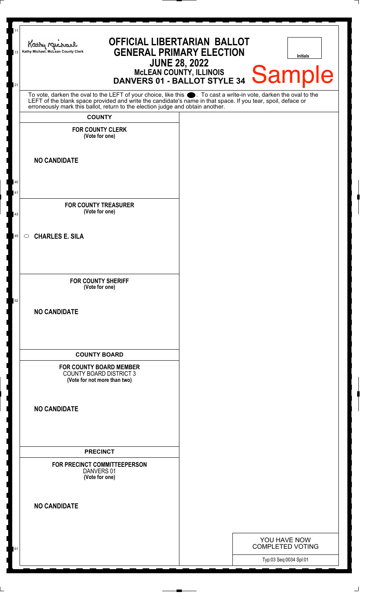| 11<br><b>OFFICIAL LIBERTARIAN BALLOT</b><br>Kathy Me<br><b>GENERAL PRIMARY ELECTION</b><br>Kathy Michael, McLean County Clerk<br>13<br><b>Initials</b><br><b>JUNE 28, 2022</b><br>MCLEAN COUNTY, ILLINOIS DANVERS 01 - BALLOT STYLE 34 Sample<br>21                                                                              |  |                                         |  |  |
|----------------------------------------------------------------------------------------------------------------------------------------------------------------------------------------------------------------------------------------------------------------------------------------------------------------------------------|--|-----------------------------------------|--|--|
| To vote, darken the oval to the LEFT of your choice, like this . To cast a write-in vote, darken the oval to the<br>LEFT of the blank space provided and write the candidate's name in that space. If you tear, spoil, deface or erroneously mark this ballot, return to the election judge and obtain another.<br><b>COUNTY</b> |  |                                         |  |  |
| <b>FOR COUNTY CLERK</b><br>(Vote for one)                                                                                                                                                                                                                                                                                        |  |                                         |  |  |
| <b>NO CANDIDATE</b><br>40                                                                                                                                                                                                                                                                                                        |  |                                         |  |  |
| 41<br><b>FOR COUNTY TREASURER</b><br>(Vote for one)                                                                                                                                                                                                                                                                              |  |                                         |  |  |
| 43<br><b>CHARLES E. SILA</b><br>$\circ$<br>45                                                                                                                                                                                                                                                                                    |  |                                         |  |  |
| <b>FOR COUNTY SHERIFF</b><br>(Vote for one)<br>52                                                                                                                                                                                                                                                                                |  |                                         |  |  |
| <b>NO CANDIDATE</b>                                                                                                                                                                                                                                                                                                              |  |                                         |  |  |
| <b>COUNTY BOARD</b><br><b>FOR COUNTY BOARD MEMBER</b>                                                                                                                                                                                                                                                                            |  |                                         |  |  |
| <b>COUNTY BOARD DISTRICT 3</b><br>(Vote for not more than two)                                                                                                                                                                                                                                                                   |  |                                         |  |  |
| <b>NO CANDIDATE</b>                                                                                                                                                                                                                                                                                                              |  |                                         |  |  |
| <b>PRECINCT</b>                                                                                                                                                                                                                                                                                                                  |  |                                         |  |  |
| FOR PRECINCT COMMITTEEPERSON<br>DANVERS 01<br>(Vote for one)                                                                                                                                                                                                                                                                     |  |                                         |  |  |
| <b>NO CANDIDATE</b>                                                                                                                                                                                                                                                                                                              |  |                                         |  |  |
|                                                                                                                                                                                                                                                                                                                                  |  | YOU HAVE NOW<br><b>COMPLETED VOTING</b> |  |  |
|                                                                                                                                                                                                                                                                                                                                  |  | Typ:03 Seq:0034 Spl:01                  |  |  |